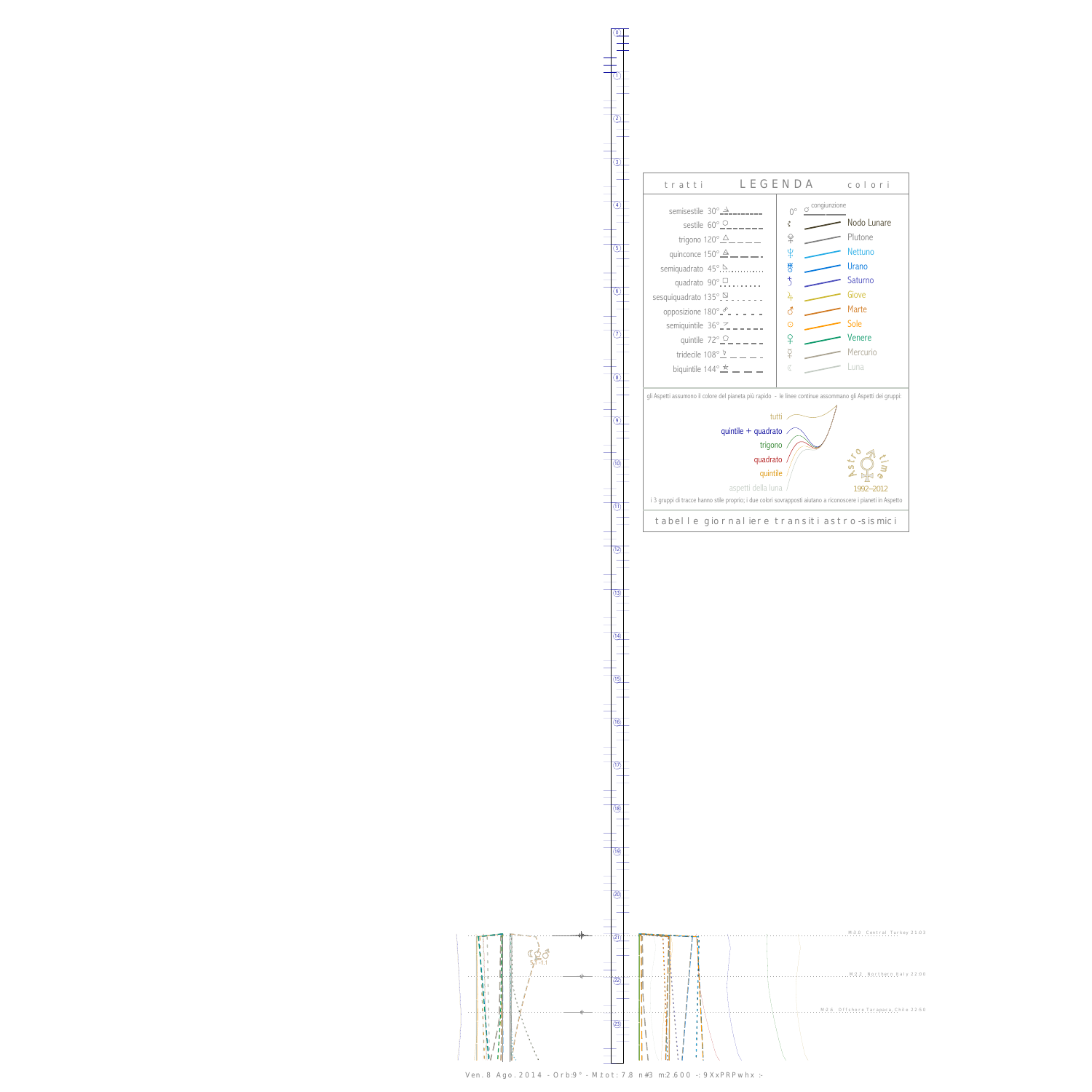0

1





Ven. 8 Ago. 2014 - Orb:9° - M.tot: 7.8 n#3 m:2.600 -: 9XxPRPwhx :-

 $(13)$